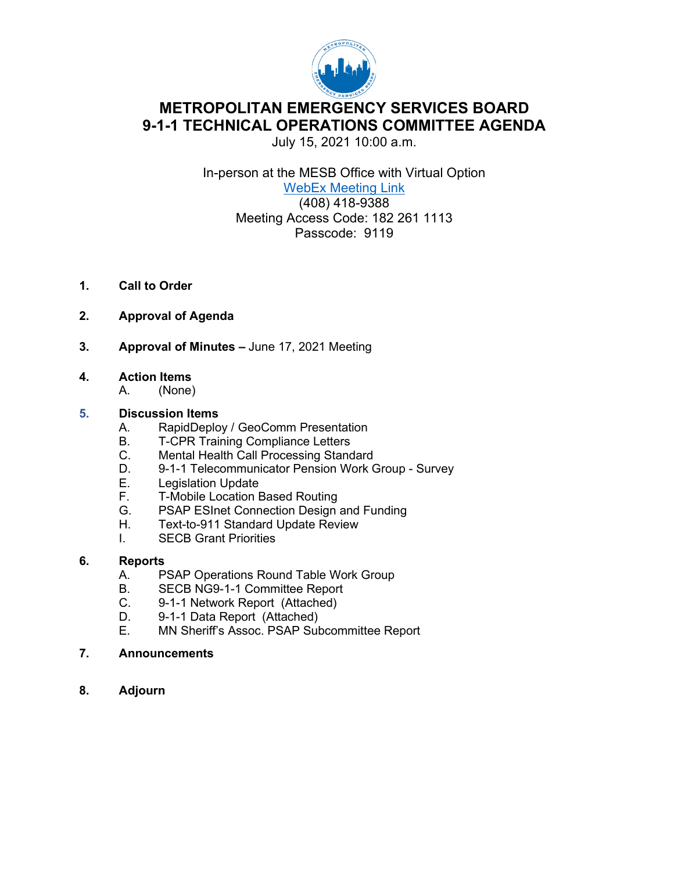

# **METROPOLITAN EMERGENCY SERVICES BOARD 9-1-1 TECHNICAL OPERATIONS COMMITTEE AGENDA**

July 15, 2021 10:00 a.m.

In-person at the MESB Office with Virtual Option WebEx [Meeting Link](https://metropolitanemergencyservicesboard.my.webex.com/webappng/sites/metropolitanemergencyservicesboard.my/meeting/download/850af8bd291945ef85c3921ac0809bd1?siteurl=metropolitanemergencyservicesboard.my&MTID=ma12be57fd06f8db2938b915711bacf51) (408) 418-9388 Meeting Access Code: 182 261 1113 Passcode: 9119

- **1. Call to Order**
- **2. Approval of Agenda**
- **3. Approval of Minutes –** June 17, 2021 Meeting
- **4. Action Items**
	- A. (None)

#### **5. Discussion Items**

- A. RapidDeploy / GeoComm Presentation
- B. T-CPR Training Compliance Letters
- C. Mental Health Call Processing Standard
- D. 9-1-1 Telecommunicator Pension Work Group Survey
- E. Legislation Update<br>F. T-Mobile Location I
- F. T-Mobile Location Based Routing<br>G. PSAP ESInet Connection Design
- PSAP ESInet Connection Design and Funding
- H. Text-to-911 Standard Update Review
- I. SECB Grant Priorities

#### **6. Reports**

- A. PSAP Operations Round Table Work Group<br>B. SECB NG9-1-1 Committee Report
- SECB NG9-1-1 Committee Report
- C. 9-1-1 Network Report (Attached)
- D. 9-1-1 Data Report (Attached)
- E. MN Sheriff's Assoc. PSAP Subcommittee Report
- **7. Announcements**
- **8. Adjourn**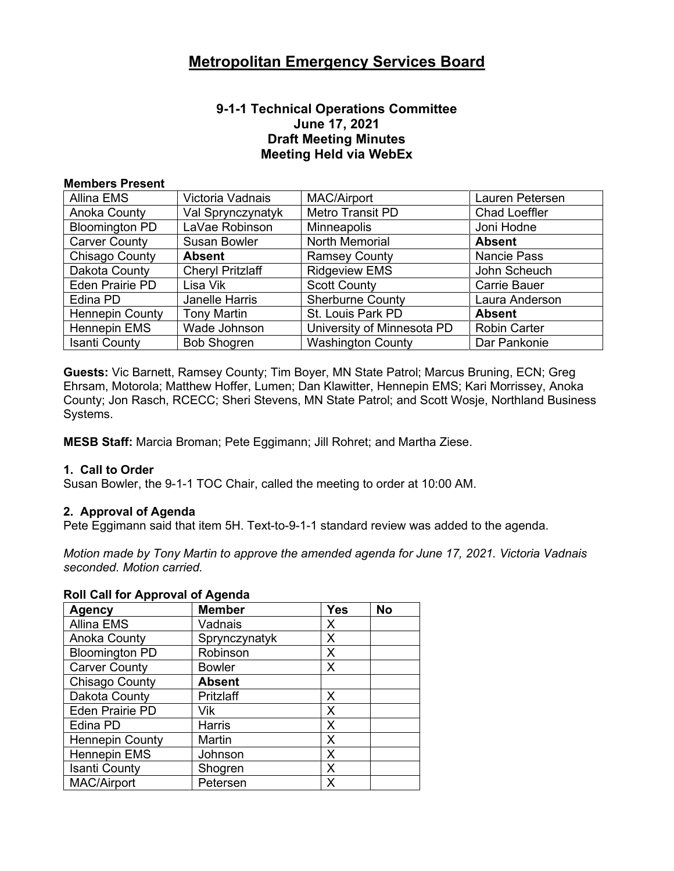#### **9-1-1 Technical Operations Committee June 17, 2021 Draft Meeting Minutes Meeting Held via WebEx**

#### **Members Present**

| Allina EMS             | Victoria Vadnais        | <b>MAC/Airport</b>         | Lauren Petersen      |
|------------------------|-------------------------|----------------------------|----------------------|
| Anoka County           | Val Sprynczynatyk       | Metro Transit PD           | <b>Chad Loeffler</b> |
| <b>Bloomington PD</b>  | LaVae Robinson          | <b>Minneapolis</b>         | Joni Hodne           |
| <b>Carver County</b>   | Susan Bowler            | North Memorial             | <b>Absent</b>        |
| Chisago County         | <b>Absent</b>           | <b>Ramsey County</b>       | <b>Nancie Pass</b>   |
| Dakota County          | <b>Cheryl Pritzlaff</b> | <b>Ridgeview EMS</b>       | John Scheuch         |
| Eden Prairie PD        | Lisa Vik                | <b>Scott County</b>        | <b>Carrie Bauer</b>  |
| Edina PD               | Janelle Harris          | <b>Sherburne County</b>    | Laura Anderson       |
| <b>Hennepin County</b> | <b>Tony Martin</b>      | St. Louis Park PD          | <b>Absent</b>        |
| <b>Hennepin EMS</b>    | Wade Johnson            | University of Minnesota PD | <b>Robin Carter</b>  |
| <b>Isanti County</b>   | <b>Bob Shogren</b>      | <b>Washington County</b>   | Dar Pankonie         |

**Guests:** Vic Barnett, Ramsey County; Tim Boyer, MN State Patrol; Marcus Bruning, ECN; Greg Ehrsam, Motorola; Matthew Hoffer, Lumen; Dan Klawitter, Hennepin EMS; Kari Morrissey, Anoka County; Jon Rasch, RCECC; Sheri Stevens, MN State Patrol; and Scott Wosje, Northland Business Systems.

**MESB Staff:** Marcia Broman; Pete Eggimann; Jill Rohret; and Martha Ziese.

#### **1. Call to Order**

Susan Bowler, the 9-1-1 TOC Chair, called the meeting to order at 10:00 AM.

#### **2. Approval of Agenda**

Pete Eggimann said that item 5H. Text-to-9-1-1 standard review was added to the agenda.

*Motion made by Tony Martin to approve the amended agenda for June 17, 2021. Victoria Vadnais seconded. Motion carried.* 

#### **Roll Call for Approval of Agenda**

| <b>Agency</b>          | <b>Member</b> | <b>Yes</b> | No |
|------------------------|---------------|------------|----|
| <b>Allina EMS</b>      | Vadnais       | Х          |    |
| <b>Anoka County</b>    | Sprynczynatyk | X          |    |
| <b>Bloomington PD</b>  | Robinson      | X          |    |
| <b>Carver County</b>   | <b>Bowler</b> | X          |    |
| Chisago County         | <b>Absent</b> |            |    |
| Dakota County          | Pritzlaff     | X          |    |
| <b>Eden Prairie PD</b> | Vik           | X          |    |
| Edina PD               | <b>Harris</b> | X          |    |
| <b>Hennepin County</b> | Martin        | X          |    |
| <b>Hennepin EMS</b>    | Johnson       | X          |    |
| <b>Isanti County</b>   | Shogren       | X          |    |
| <b>MAC/Airport</b>     | Petersen      | X          |    |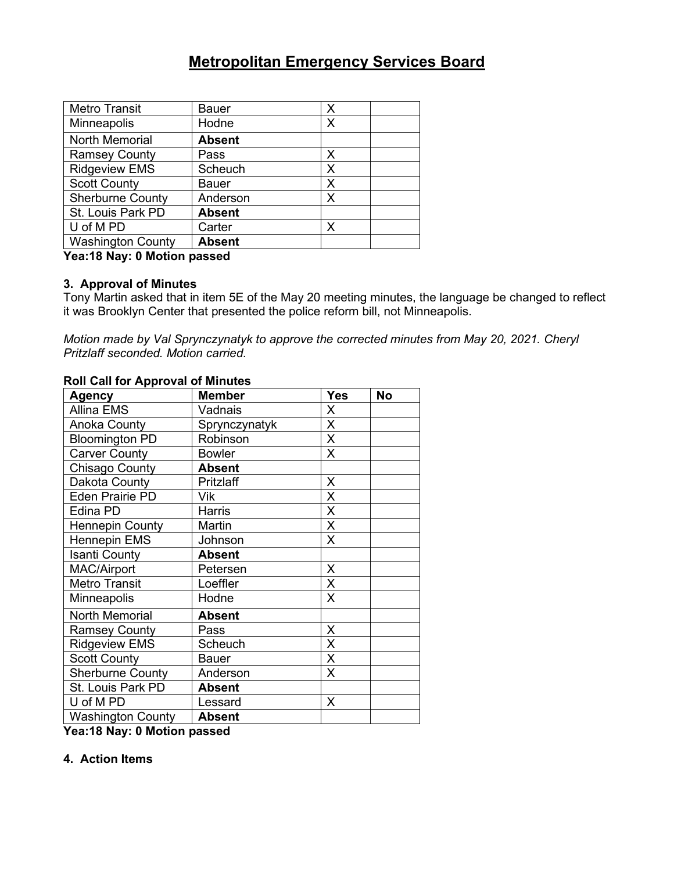| <b>Metro Transit</b>     | <b>Bauer</b>  | X |
|--------------------------|---------------|---|
| Minneapolis              | Hodne         | Х |
| <b>North Memorial</b>    | <b>Absent</b> |   |
| <b>Ramsey County</b>     | Pass          | Х |
| <b>Ridgeview EMS</b>     | Scheuch       | X |
| <b>Scott County</b>      | Bauer         | X |
| <b>Sherburne County</b>  | Anderson      | Х |
| St. Louis Park PD        | <b>Absent</b> |   |
| U of M PD                | Carter        | X |
| <b>Washington County</b> | <b>Absent</b> |   |

**Yea:18 Nay: 0 Motion passed**

#### **3. Approval of Minutes**

Tony Martin asked that in item 5E of the May 20 meeting minutes, the language be changed to reflect it was Brooklyn Center that presented the police reform bill, not Minneapolis.

*Motion made by Val Sprynczynatyk to approve the corrected minutes from May 20, 2021. Cheryl Pritzlaff seconded. Motion carried.*

#### **Roll Call for Approval of Minutes**

| Agency                   | <b>Member</b> | <b>Yes</b> | <b>No</b> |
|--------------------------|---------------|------------|-----------|
| <b>Allina EMS</b>        | Vadnais       | X          |           |
| Anoka County             | Sprynczynatyk | X          |           |
| <b>Bloomington PD</b>    | Robinson      | X          |           |
| <b>Carver County</b>     | <b>Bowler</b> | X          |           |
| <b>Chisago County</b>    | <b>Absent</b> |            |           |
| Dakota County            | Pritzlaff     | X          |           |
| <b>Eden Prairie PD</b>   | Vik           | X          |           |
| Edina PD                 | <b>Harris</b> | X          |           |
| <b>Hennepin County</b>   | Martin        | X          |           |
| <b>Hennepin EMS</b>      | Johnson       | X          |           |
| <b>Isanti County</b>     | <b>Absent</b> |            |           |
| <b>MAC/Airport</b>       | Petersen      | X          |           |
| <b>Metro Transit</b>     | Loeffler      | X          |           |
| <b>Minneapolis</b>       | Hodne         | X          |           |
| <b>North Memorial</b>    | <b>Absent</b> |            |           |
| <b>Ramsey County</b>     | Pass          | Χ          |           |
| <b>Ridgeview EMS</b>     | Scheuch       | X          |           |
| <b>Scott County</b>      | <b>Bauer</b>  | X          |           |
| <b>Sherburne County</b>  | Anderson      | X          |           |
| St. Louis Park PD        | <b>Absent</b> |            |           |
| U of M PD                | Lessard       | X          |           |
| <b>Washington County</b> | <b>Absent</b> |            |           |

**Yea:18 Nay: 0 Motion passed**

#### **4. Action Items**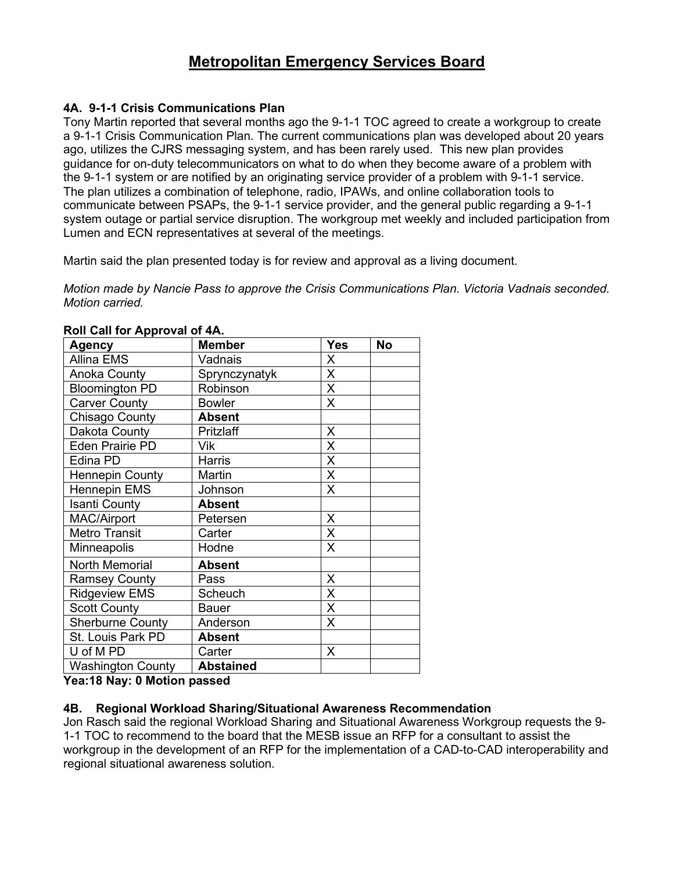#### **4A. 9-1-1 Crisis Communications Plan**

Tony Martin reported that several months ago the 9-1-1 TOC agreed to create a workgroup to create a 9-1-1 Crisis Communication Plan. The current communications plan was developed about 20 years ago, utilizes the CJRS messaging system, and has been rarely used. This new plan provides guidance for on-duty telecommunicators on what to do when they become aware of a problem with the 9-1-1 system or are notified by an originating service provider of a problem with 9-1-1 service. The plan utilizes a combination of telephone, radio, IPAWs, and online collaboration tools to communicate between PSAPs, the 9-1-1 service provider, and the general public regarding a 9-1-1 system outage or partial service disruption. The workgroup met weekly and included participation from Lumen and ECN representatives at several of the meetings.

Martin said the plan presented today is for review and approval as a living document.

*Motion made by Nancie Pass to approve the Crisis Communications Plan. Victoria Vadnais seconded. Motion carried.*

| <b>Agency</b>            | <b>Member</b>    | <b>Yes</b> | <b>No</b> |
|--------------------------|------------------|------------|-----------|
| <b>Allina EMS</b>        | Vadnais          | X          |           |
| <b>Anoka County</b>      | Sprynczynatyk    | X          |           |
| <b>Bloomington PD</b>    | Robinson         | X          |           |
| <b>Carver County</b>     | <b>Bowler</b>    | X          |           |
| Chisago County           | <b>Absent</b>    |            |           |
| Dakota County            | Pritzlaff        | X          |           |
| <b>Eden Prairie PD</b>   | Vik              | X          |           |
| Edina PD                 | <b>Harris</b>    | X          |           |
| <b>Hennepin County</b>   | Martin           | X          |           |
| <b>Hennepin EMS</b>      | Johnson          | X          |           |
| <b>Isanti County</b>     | <b>Absent</b>    |            |           |
| <b>MAC/Airport</b>       | Petersen         | X          |           |
| <b>Metro Transit</b>     | Carter           | X          |           |
| Minneapolis              | Hodne            | X          |           |
| North Memorial           | <b>Absent</b>    |            |           |
| <b>Ramsey County</b>     | Pass             | X          |           |
| <b>Ridgeview EMS</b>     | Scheuch          | X          |           |
| <b>Scott County</b>      | <b>Bauer</b>     | X          |           |
| <b>Sherburne County</b>  | Anderson         | X          |           |
| St. Louis Park PD        | <b>Absent</b>    |            |           |
| U of M PD                | Carter           | X          |           |
| <b>Washington County</b> | <b>Abstained</b> |            |           |

#### **Roll Call for Approval of 4A.**

**Yea:18 Nay: 0 Motion passed**

#### **4B. Regional Workload Sharing/Situational Awareness Recommendation**

Jon Rasch said the regional Workload Sharing and Situational Awareness Workgroup requests the 9- 1-1 TOC to recommend to the board that the MESB issue an RFP for a consultant to assist the workgroup in the development of an RFP for the implementation of a CAD-to-CAD interoperability and regional situational awareness solution.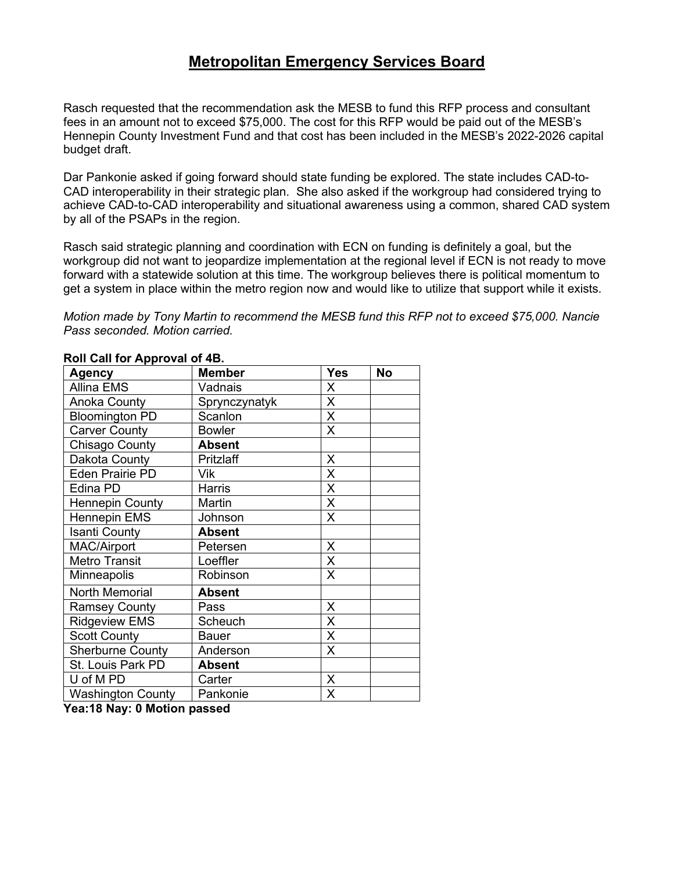Rasch requested that the recommendation ask the MESB to fund this RFP process and consultant fees in an amount not to exceed \$75,000. The cost for this RFP would be paid out of the MESB's Hennepin County Investment Fund and that cost has been included in the MESB's 2022-2026 capital budget draft.

Dar Pankonie asked if going forward should state funding be explored. The state includes CAD-to-CAD interoperability in their strategic plan. She also asked if the workgroup had considered trying to achieve CAD-to-CAD interoperability and situational awareness using a common, shared CAD system by all of the PSAPs in the region.

Rasch said strategic planning and coordination with ECN on funding is definitely a goal, but the workgroup did not want to jeopardize implementation at the regional level if ECN is not ready to move forward with a statewide solution at this time. The workgroup believes there is political momentum to get a system in place within the metro region now and would like to utilize that support while it exists.

*Motion made by Tony Martin to recommend the MESB fund this RFP not to exceed \$75,000. Nancie Pass seconded. Motion carried.*

| .<br><b>Agency</b>       | <b>Member</b> | Yes            | <b>No</b> |
|--------------------------|---------------|----------------|-----------|
| <b>Allina EMS</b>        | Vadnais       | X              |           |
| <b>Anoka County</b>      | Sprynczynatyk | X              |           |
| <b>Bloomington PD</b>    | Scanlon       | X              |           |
| <b>Carver County</b>     | <b>Bowler</b> | X              |           |
| Chisago County           | <b>Absent</b> |                |           |
| Dakota County            | Pritzlaff     | X              |           |
| <b>Eden Prairie PD</b>   | Vik           | X              |           |
| Edina PD                 | Harris        | X              |           |
| <b>Hennepin County</b>   | Martin        | X              |           |
| <b>Hennepin EMS</b>      | Johnson       | X              |           |
| <b>Isanti County</b>     | <b>Absent</b> |                |           |
| <b>MAC/Airport</b>       | Petersen      | X              |           |
| <b>Metro Transit</b>     | Loeffler      | X              |           |
| Minneapolis              | Robinson      | X              |           |
| North Memorial           | <b>Absent</b> |                |           |
| <b>Ramsey County</b>     | Pass          | X              |           |
| <b>Ridgeview EMS</b>     | Scheuch       | X              |           |
| <b>Scott County</b>      | <b>Bauer</b>  | $\overline{X}$ |           |
| <b>Sherburne County</b>  | Anderson      | Χ              |           |
| St. Louis Park PD        | <b>Absent</b> |                |           |
| U of M PD                | Carter        | X              |           |
| <b>Washington County</b> | Pankonie      | Χ              |           |

#### **Roll Call for Approval of 4B.**

**Yea:18 Nay: 0 Motion passed**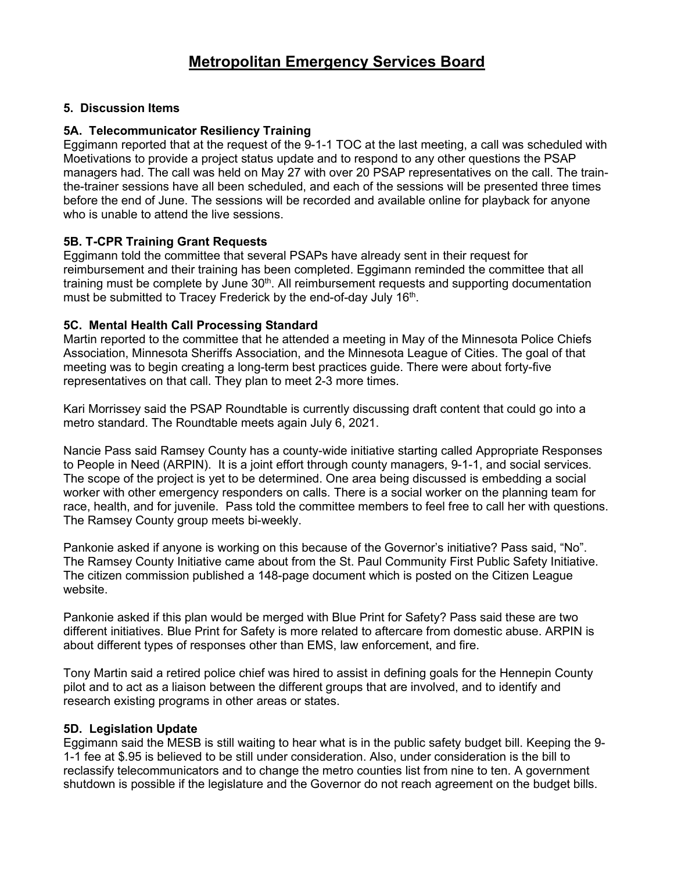#### **5. Discussion Items**

#### **5A. Telecommunicator Resiliency Training**

Eggimann reported that at the request of the 9-1-1 TOC at the last meeting, a call was scheduled with Moetivations to provide a project status update and to respond to any other questions the PSAP managers had. The call was held on May 27 with over 20 PSAP representatives on the call. The trainthe-trainer sessions have all been scheduled, and each of the sessions will be presented three times before the end of June. The sessions will be recorded and available online for playback for anyone who is unable to attend the live sessions.

#### **5B. T-CPR Training Grant Requests**

Eggimann told the committee that several PSAPs have already sent in their request for reimbursement and their training has been completed. Eggimann reminded the committee that all training must be complete by June  $30<sup>th</sup>$ . All reimbursement requests and supporting documentation must be submitted to Tracey Frederick by the end-of-day July 16<sup>th</sup>.

#### **5C. Mental Health Call Processing Standard**

Martin reported to the committee that he attended a meeting in May of the Minnesota Police Chiefs Association, Minnesota Sheriffs Association, and the Minnesota League of Cities. The goal of that meeting was to begin creating a long-term best practices guide. There were about forty-five representatives on that call. They plan to meet 2-3 more times.

Kari Morrissey said the PSAP Roundtable is currently discussing draft content that could go into a metro standard. The Roundtable meets again July 6, 2021.

Nancie Pass said Ramsey County has a county-wide initiative starting called Appropriate Responses to People in Need (ARPIN). It is a joint effort through county managers, 9-1-1, and social services. The scope of the project is yet to be determined. One area being discussed is embedding a social worker with other emergency responders on calls. There is a social worker on the planning team for race, health, and for juvenile. Pass told the committee members to feel free to call her with questions. The Ramsey County group meets bi-weekly.

Pankonie asked if anyone is working on this because of the Governor's initiative? Pass said, "No". The Ramsey County Initiative came about from the St. Paul Community First Public Safety Initiative. The citizen commission published a 148-page document which is posted on the Citizen League website.

Pankonie asked if this plan would be merged with Blue Print for Safety? Pass said these are two different initiatives. Blue Print for Safety is more related to aftercare from domestic abuse. ARPIN is about different types of responses other than EMS, law enforcement, and fire.

Tony Martin said a retired police chief was hired to assist in defining goals for the Hennepin County pilot and to act as a liaison between the different groups that are involved, and to identify and research existing programs in other areas or states.

#### **5D. Legislation Update**

Eggimann said the MESB is still waiting to hear what is in the public safety budget bill. Keeping the 9- 1-1 fee at \$.95 is believed to be still under consideration. Also, under consideration is the bill to reclassify telecommunicators and to change the metro counties list from nine to ten. A government shutdown is possible if the legislature and the Governor do not reach agreement on the budget bills.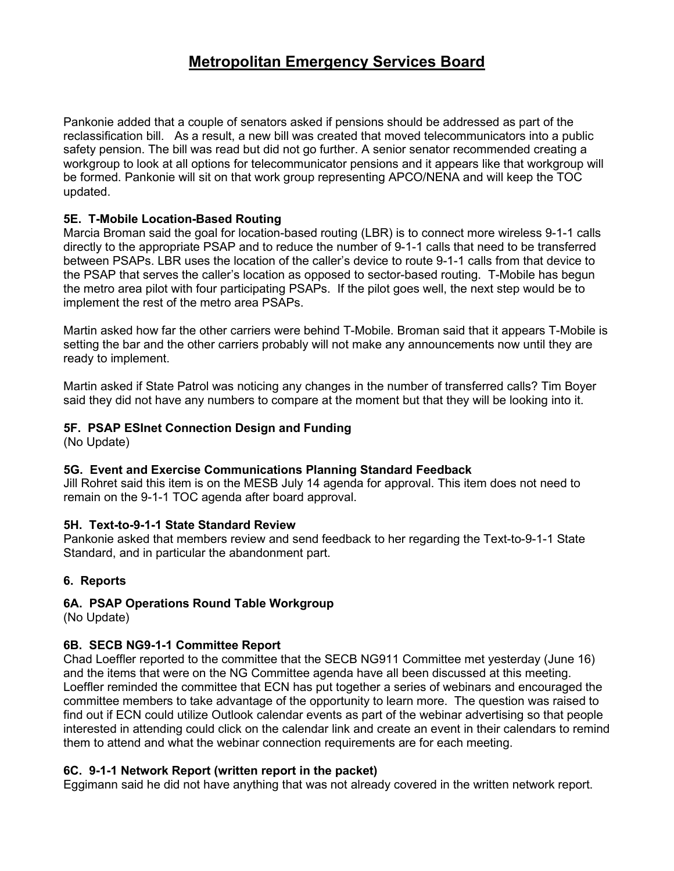Pankonie added that a couple of senators asked if pensions should be addressed as part of the reclassification bill. As a result, a new bill was created that moved telecommunicators into a public safety pension. The bill was read but did not go further. A senior senator recommended creating a workgroup to look at all options for telecommunicator pensions and it appears like that workgroup will be formed. Pankonie will sit on that work group representing APCO/NENA and will keep the TOC updated.

#### **5E. T-Mobile Location-Based Routing**

Marcia Broman said the goal for location-based routing (LBR) is to connect more wireless 9-1-1 calls directly to the appropriate PSAP and to reduce the number of 9-1-1 calls that need to be transferred between PSAPs. LBR uses the location of the caller's device to route 9-1-1 calls from that device to the PSAP that serves the caller's location as opposed to sector-based routing. T-Mobile has begun the metro area pilot with four participating PSAPs. If the pilot goes well, the next step would be to implement the rest of the metro area PSAPs.

Martin asked how far the other carriers were behind T-Mobile. Broman said that it appears T-Mobile is setting the bar and the other carriers probably will not make any announcements now until they are ready to implement.

Martin asked if State Patrol was noticing any changes in the number of transferred calls? Tim Boyer said they did not have any numbers to compare at the moment but that they will be looking into it.

#### **5F. PSAP ESInet Connection Design and Funding**

(No Update)

#### **5G. Event and Exercise Communications Planning Standard Feedback**

Jill Rohret said this item is on the MESB July 14 agenda for approval. This item does not need to remain on the 9-1-1 TOC agenda after board approval.

#### **5H. Text-to-9-1-1 State Standard Review**

Pankonie asked that members review and send feedback to her regarding the Text-to-9-1-1 State Standard, and in particular the abandonment part.

#### **6. Reports**

#### **6A. PSAP Operations Round Table Workgroup**

(No Update)

#### **6B. SECB NG9-1-1 Committee Report**

Chad Loeffler reported to the committee that the SECB NG911 Committee met yesterday (June 16) and the items that were on the NG Committee agenda have all been discussed at this meeting. Loeffler reminded the committee that ECN has put together a series of webinars and encouraged the committee members to take advantage of the opportunity to learn more. The question was raised to find out if ECN could utilize Outlook calendar events as part of the webinar advertising so that people interested in attending could click on the calendar link and create an event in their calendars to remind them to attend and what the webinar connection requirements are for each meeting.

#### **6C. 9-1-1 Network Report (written report in the packet)**

Eggimann said he did not have anything that was not already covered in the written network report.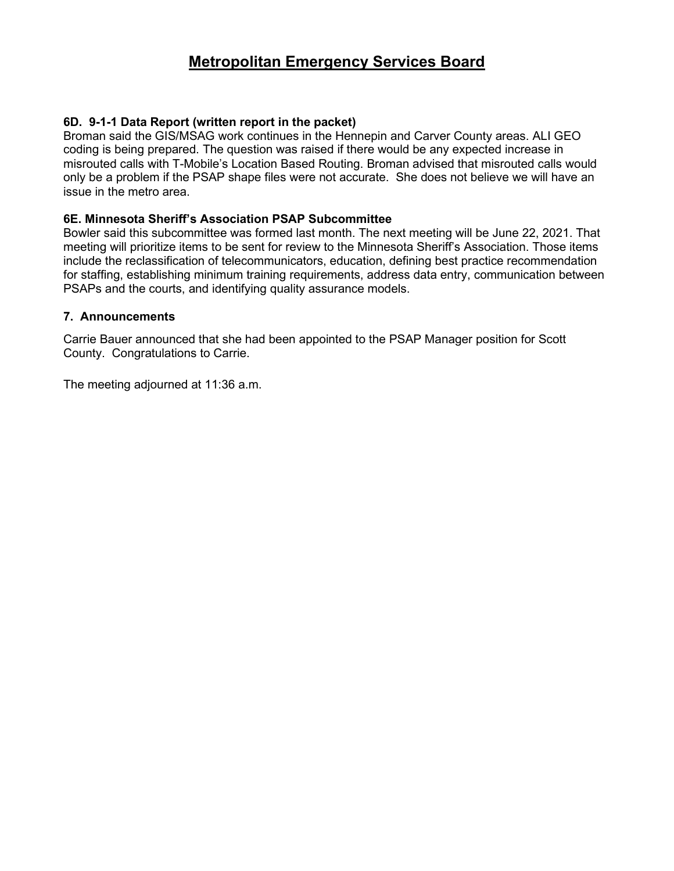#### **6D. 9-1-1 Data Report (written report in the packet)**

Broman said the GIS/MSAG work continues in the Hennepin and Carver County areas. ALI GEO coding is being prepared. The question was raised if there would be any expected increase in misrouted calls with T-Mobile's Location Based Routing. Broman advised that misrouted calls would only be a problem if the PSAP shape files were not accurate. She does not believe we will have an issue in the metro area.

#### **6E. Minnesota Sheriff's Association PSAP Subcommittee**

Bowler said this subcommittee was formed last month. The next meeting will be June 22, 2021. That meeting will prioritize items to be sent for review to the Minnesota Sheriff's Association. Those items include the reclassification of telecommunicators, education, defining best practice recommendation for staffing, establishing minimum training requirements, address data entry, communication between PSAPs and the courts, and identifying quality assurance models.

#### **7. Announcements**

Carrie Bauer announced that she had been appointed to the PSAP Manager position for Scott County. Congratulations to Carrie.

The meeting adjourned at 11:36 a.m.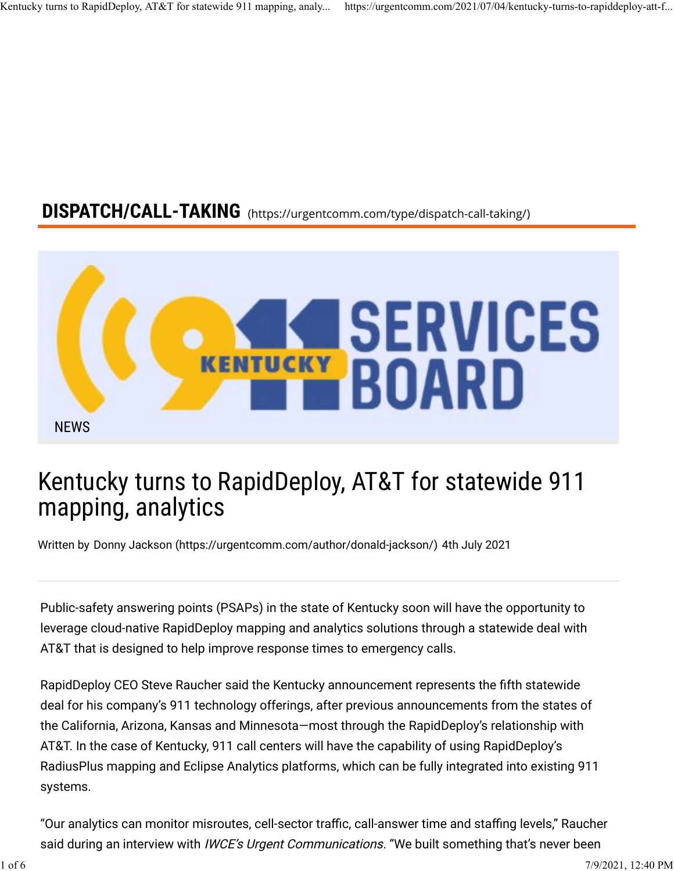# DISPATCH/CALL-TAKING (https://urgentcomm.com/type/dispatch-call-taking/)



# Kentucky turns to RapidDeploy, AT&T for statewide 911 mapping, analytics

Written by Donny Jackson (https://urgentcomm.com/author/donald-jackson/) 4th July 2021

Public-safety answering points (PSAPs) in the state of Kentucky soon will have the opportunity to leverage cloud-native RapidDeploy mapping and analytics solutions through a statewide deal with AT&T that is designed to help improve response times to emergency calls.

RapidDeploy CEO Steve Raucher said the Kentucky announcement represents the fifth statewide deal for his company's 911 technology offerings, after previous announcements from the states of the California, Arizona, Kansas and Minnesota—most through the RapidDeploy's relationship with AT&T. In the case of Kentucky, 911 call centers will have the capability of using RapidDeploy's RadiusPlus mapping and Eclipse Analytics platforms, which can be fully integrated into existing 911 systems.

"Our analytics can monitor misroutes, cell-sector traffic, call-answer time and staffing levels," Raucher said during an interview with IWCE's Urgent Communications. "We built something that's never been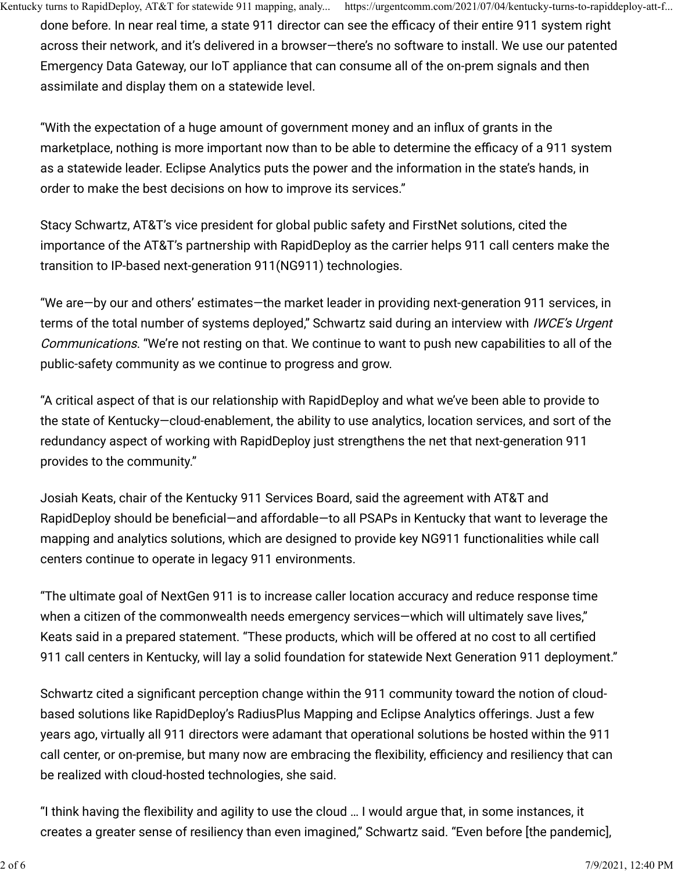done before. In near real time, a state 911 director can see the efficacy of their entire 911 system right across their network, and it's delivered in a browser—there's no software to install. We use our patented Emergency Data Gateway, our IoT appliance that can consume all of the on-prem signals and then assimilate and display them on a statewide level.

"With the expectation of a huge amount of government money and an in�ux of grants in the marketplace, nothing is more important now than to be able to determine the efficacy of a 911 system as a statewide leader. Eclipse Analytics puts the power and the information in the state's hands, in order to make the best decisions on how to improve its services."

Stacy Schwartz, AT&T's vice president for global public safety and FirstNet solutions, cited the importance of the AT&T's partnership with RapidDeploy as the carrier helps 911 call centers make the transition to IP-based next-generation 911(NG911) technologies.

"We are—by our and others' estimates—the market leader in providing next-generation 911 services, in terms of the total number of systems deployed," Schwartz said during an interview with *IWCE's Urgent* Communications. "We're not resting on that. We continue to want to push new capabilities to all of the public-safety community as we continue to progress and grow.

"A critical aspect of that is our relationship with RapidDeploy and what we've been able to provide to the state of Kentucky—cloud-enablement, the ability to use analytics, location services, and sort of the redundancy aspect of working with RapidDeploy just strengthens the net that next-generation 911 provides to the community."

Josiah Keats, chair of the Kentucky 911 Services Board, said the agreement with AT&T and RapidDeploy should be beneficial—and affordable—to all PSAPs in Kentucky that want to leverage the mapping and analytics solutions, which are designed to provide key NG911 functionalities while call centers continue to operate in legacy 911 environments.

"The ultimate goal of NextGen 911 is to increase caller location accuracy and reduce response time when a citizen of the commonwealth needs emergency services-which will ultimately save lives," Keats said in a prepared statement. "These products, which will be offered at no cost to all certified 911 call centers in Kentucky, will lay a solid foundation for statewide Next Generation 911 deployment."

Schwartz cited a significant perception change within the 911 community toward the notion of cloudbased solutions like RapidDeploy's RadiusPlus Mapping and Eclipse Analytics offerings. Just a few years ago, virtually all 911 directors were adamant that operational solutions be hosted within the 911 call center, or on-premise, but many now are embracing the flexibility, efficiency and resiliency that can be realized with cloud-hosted technologies, she said.

"I think having the �exibility and agility to use the cloud … I would argue that, in some instances, it creates a greater sense of resiliency than even imagined," Schwartz said. "Even before [the pandemic],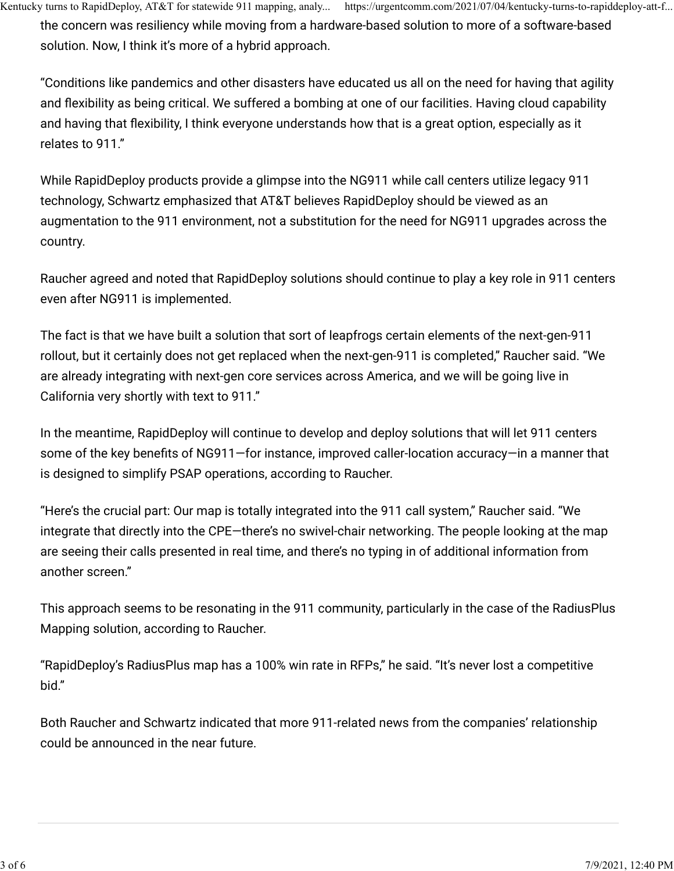the concern was resiliency while moving from a hardware-based solution to more of a software-based solution. Now, I think it's more of a hybrid approach.

"Conditions like pandemics and other disasters have educated us all on the need for having that agility and flexibility as being critical. We suffered a bombing at one of our facilities. Having cloud capability and having that flexibility, I think everyone understands how that is a great option, especially as it relates to 911."

While RapidDeploy products provide a glimpse into the NG911 while call centers utilize legacy 911 technology, Schwartz emphasized that AT&T believes RapidDeploy should be viewed as an augmentation to the 911 environment, not a substitution for the need for NG911 upgrades across the country.

Raucher agreed and noted that RapidDeploy solutions should continue to play a key role in 911 centers even after NG911 is implemented.

The fact is that we have built a solution that sort of leapfrogs certain elements of the next-gen-911 rollout, but it certainly does not get replaced when the next-gen-911 is completed," Raucher said. "We are already integrating with next-gen core services across America, and we will be going live in California very shortly with text to 911."

In the meantime, RapidDeploy will continue to develop and deploy solutions that will let 911 centers some of the key benefits of NG911–for instance, improved caller-location accuracy–in a manner that is designed to simplify PSAP operations, according to Raucher.

"Here's the crucial part: Our map is totally integrated into the 911 call system," Raucher said. "We integrate that directly into the CPE—there's no swivel-chair networking. The people looking at the map are seeing their calls presented in real time, and there's no typing in of additional information from another screen."

This approach seems to be resonating in the 911 community, particularly in the case of the RadiusPlus Mapping solution, according to Raucher.

"RapidDeploy's RadiusPlus map has a 100% win rate in RFPs," he said. "It's never lost a competitive bid."

Both Raucher and Schwartz indicated that more 911-related news from the companies' relationship could be announced in the near future.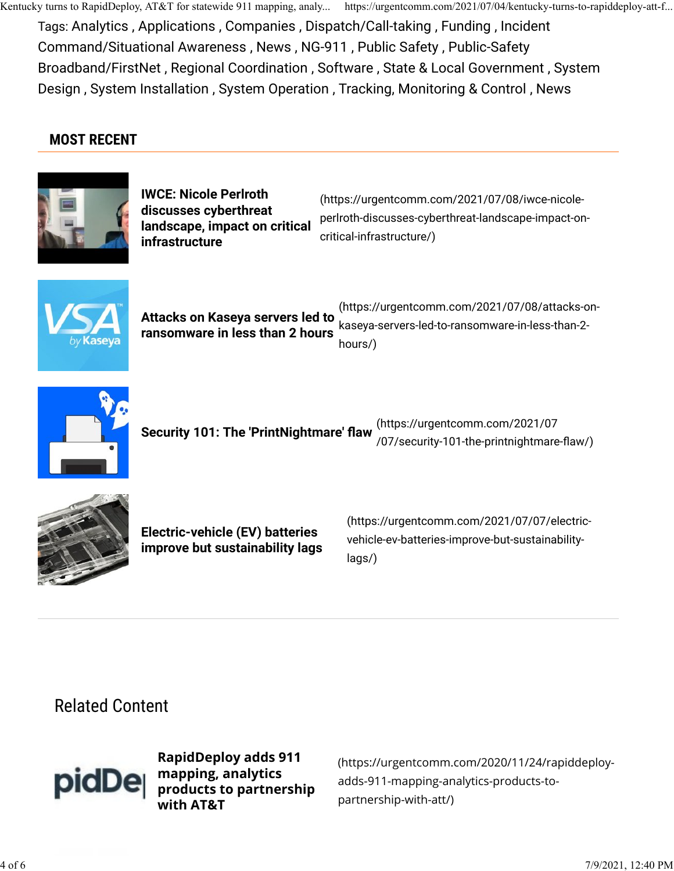Tags: Analytics , Applications , Companies , Dispatch/Call-taking , Funding , Incident Command/Situational Awareness , News , NG-911 , Public Safety , Public-Safety Broadband/FirstNet , Regional Coordination , Software , State & Local Government , System Design , System Installation , System Operation , Tracking, Monitoring & Control , News

## MOST RECENT



IWCE: Nicole Perlroth discusses cyberthreat landscape, impact on critical infrastructure

(https://urgentcomm.com/2021/07/08/iwce-nicoleperlroth-discusses-cyberthreat-landscape-impact-oncritical-infrastructure/)



Attacks on Kaseya servers led to ransomware in less than 2 hours (https://urgentcomm.com/2021/07/08/attacks-onkaseya-servers-led-to-ransomware-in-less-than-2 hours/)



Security 101: The 'PrintNightmare' flaw  $($ https://urgentcomm.com/2021/07

/07/security-101-the-printnightmare-�aw/)



Electric-vehicle (EV) batteries improve but sustainability lags

(https://urgentcomm.com/2021/07/07/electricvehicle-ev-batteries-improve-but-sustainabilitylags/)

Related Content



RapidDeploy adds 911 mapping, analytics products to partnership with AT&T

(https://urgentcomm.com/2020/11/24/rapiddeployadds-911-mapping-analytics-products-topartnership-with-att/)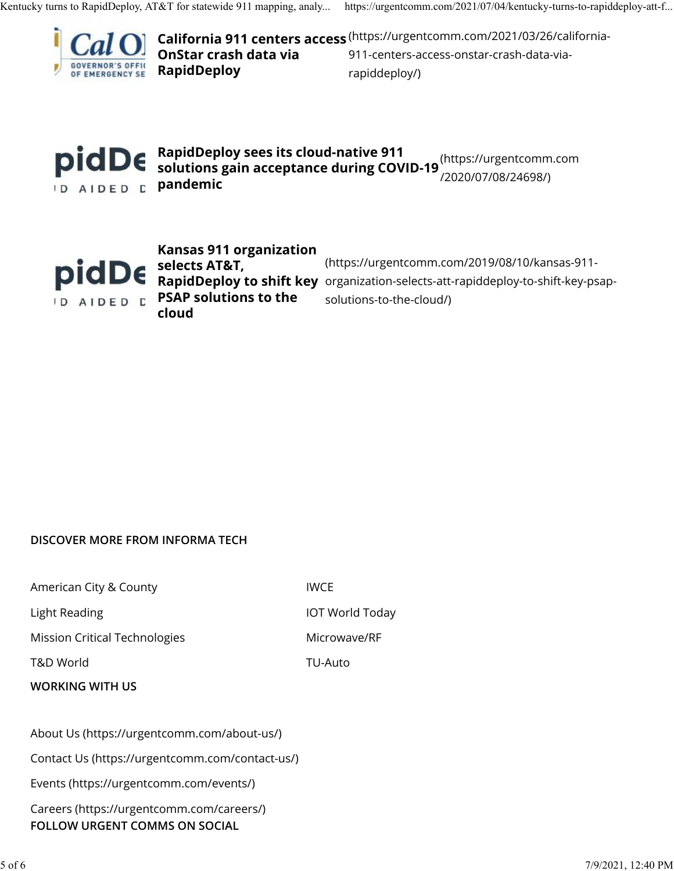

California 911 centers access (https://urgentcomm.com/2021/03/26/california-OnStar crash data via RapidDeploy 911-centers-access-onstar-crash-data-viarapiddeploy/)



RapidDeploy sees its cloud-native 911 solutions gain acceptance during COVID-19 (https://urgentcomm.com /2020/07/08/24698/)



Kansas 911 organization selects AT&T, PSAP solutions to the cloud

RapidDeploy to shift key organization-selects-att-rapiddeploy-to-shift-key-psap-(https://urgentcomm.com/2019/08/10/kansas-911 solutions-to-the-cloud/)

#### DISCOVER MORE FROM INFORMA TECH

American City & County **IWCE** 

Mission Critical Technologies Microwave/RF

T&D World TU-Auto

WORKING WITH US

Light Reading **IOT World Today** 

About Us (https://urgentcomm.com/about-us/)

Contact Us (https://urgentcomm.com/contact-us/)

Events (https://urgentcomm.com/events/)

Careers (https://urgentcomm.com/careers/) FOLLOW URGENT COMMS ON SOCIAL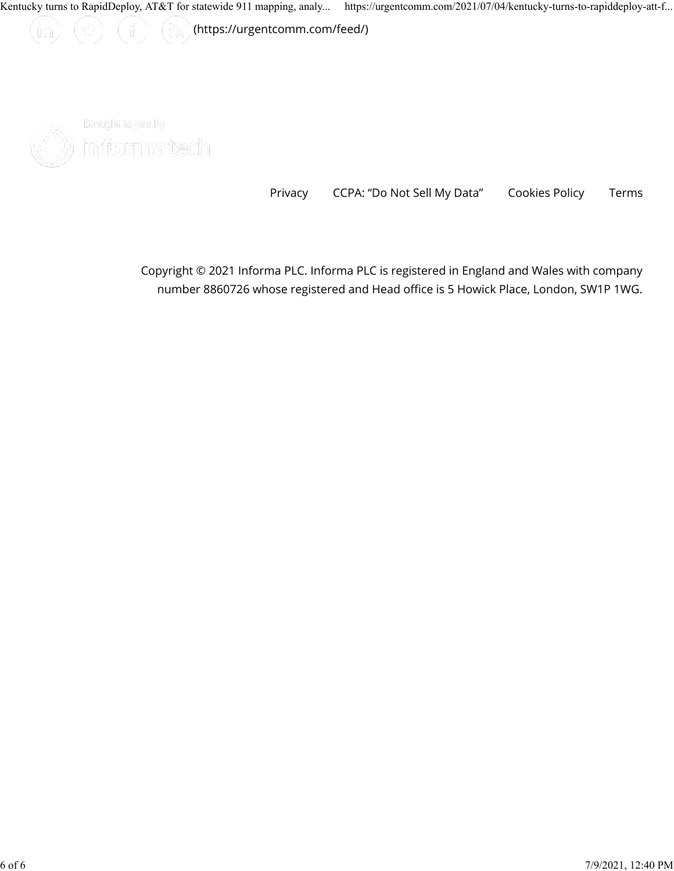(꼬) (유)

 $\left(\begin{smallmatrix}\mathbb{R}^m,\\mathbb{R}^m\end{smallmatrix}\right)$  (https://urgentcomm.com/feed/)



 $(\text{im})$ 

Braught to you by )) informatech

Privacy CCPA: "Do Not Sell My Data" Cookies Policy Terms

Copyright © 2021 Informa PLC. Informa PLC is registered in England and Wales with company number 8860726 whose registered and Head office is 5 Howick Place, London, SW1P 1WG.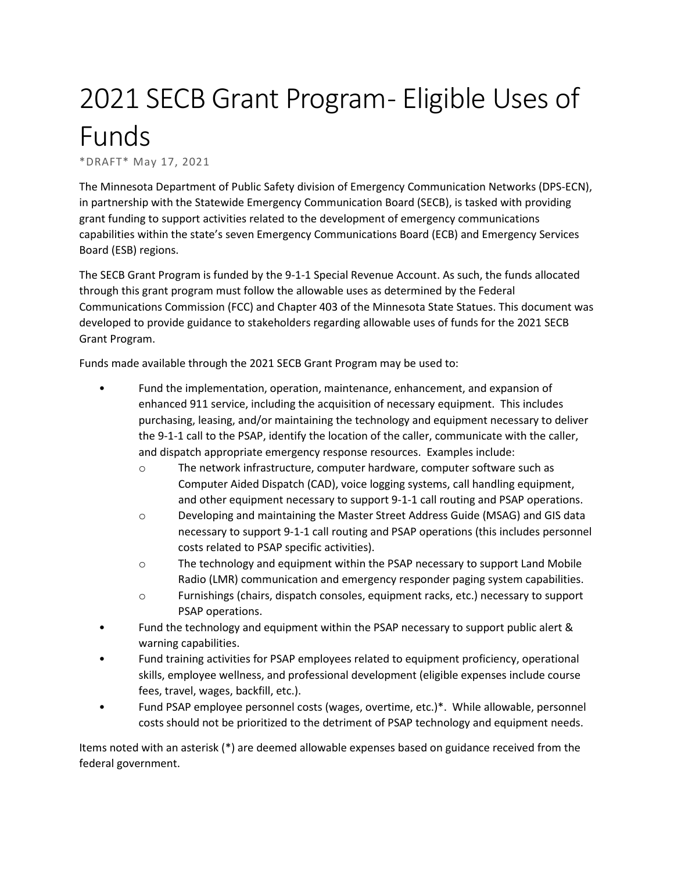# 2021 SECB Grant Program - Eligible Uses of Funds

\*DRAFT\* May 17, 2021

The Minnesota Department of Public Safety division of Emergency Communication Networks (DPS-ECN), in partnership with the Statewide Emergency Communication Board (SECB), is tasked with providing grant funding to support activities related to the development of emergency communications capabilities within the state's seven Emergency Communications Board (ECB) and Emergency Services Board (ESB) regions.

The SECB Grant Program is funded by the 9-1-1 Special Revenue Account. As such, the funds allocated through this grant program must follow the allowable uses as determined by the Federal Communications Commission (FCC) and Chapter 403 of the Minnesota State Statues. This document was developed to provide guidance to stakeholders regarding allowable uses of funds for the 2021 SECB Grant Program.

Funds made available through the 2021 SECB Grant Program may be used to:

- Fund the implementation, operation, maintenance, enhancement, and expansion of enhanced 911 service, including the acquisition of necessary equipment. This includes purchasing, leasing, and/or maintaining the technology and equipment necessary to deliver the 9-1-1 call to the PSAP, identify the location of the caller, communicate with the caller, and dispatch appropriate emergency response resources. Examples include:
	- o The network infrastructure, computer hardware, computer software such as Computer Aided Dispatch (CAD), voice logging systems, call handling equipment, and other equipment necessary to support 9-1-1 call routing and PSAP operations.
	- o Developing and maintaining the Master Street Address Guide (MSAG) and GIS data necessary to support 9-1-1 call routing and PSAP operations (this includes personnel costs related to PSAP specific activities).
	- o The technology and equipment within the PSAP necessary to support Land Mobile Radio (LMR) communication and emergency responder paging system capabilities.
	- o Furnishings (chairs, dispatch consoles, equipment racks, etc.) necessary to support PSAP operations.
- Fund the technology and equipment within the PSAP necessary to support public alert & warning capabilities.
- Fund training activities for PSAP employees related to equipment proficiency, operational skills, employee wellness, and professional development (eligible expenses include course fees, travel, wages, backfill, etc.).
- Fund PSAP employee personnel costs (wages, overtime, etc.)\*. While allowable, personnel costs should not be prioritized to the detriment of PSAP technology and equipment needs.

Items noted with an asterisk (\*) are deemed allowable expenses based on guidance received from the federal government.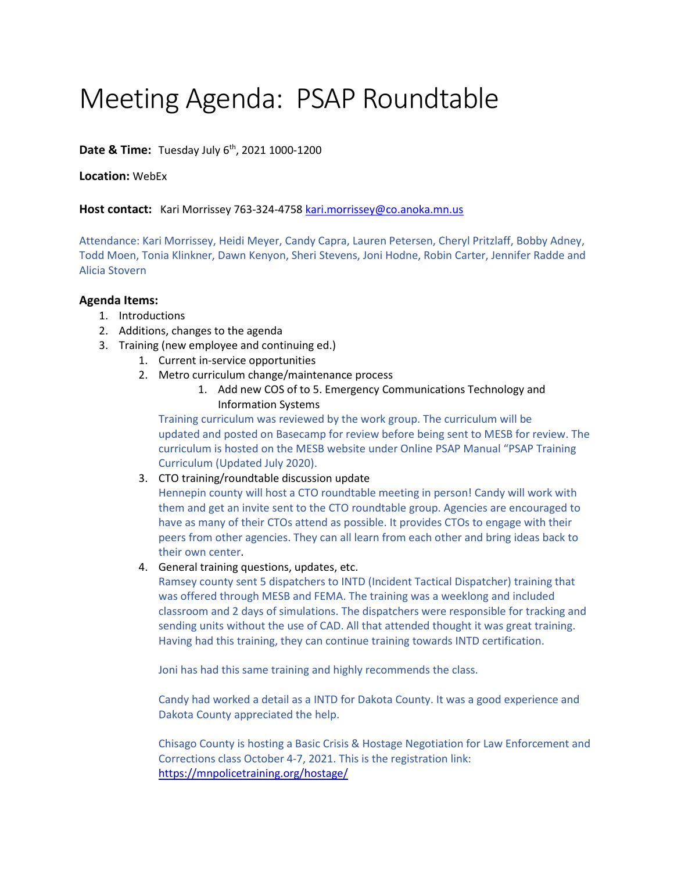# Meeting Agenda: PSAP Roundtable

**Date & Time:** Tuesday July 6<sup>th</sup>, 2021 1000-1200

**Location:** WebEx

Host contact: Kari Morrissey 763-324-4758 [kari.morrissey@co.anoka.mn.us](mailto:kari.morrissey@co.anoka.mn.us)

Attendance: Kari Morrissey, Heidi Meyer, Candy Capra, Lauren Petersen, Cheryl Pritzlaff, Bobby Adney, Todd Moen, Tonia Klinkner, Dawn Kenyon, Sheri Stevens, Joni Hodne, Robin Carter, Jennifer Radde and Alicia Stovern

#### **Agenda Items:**

- 1. Introductions
- 2. Additions, changes to the agenda
- 3. Training (new employee and continuing ed.)
	- 1. Current in-service opportunities
	- 2. Metro curriculum change/maintenance process
		- 1. Add new COS of to 5. Emergency Communications Technology and Information Systems

Training curriculum was reviewed by the work group. The curriculum will be updated and posted on Basecamp for review before being sent to MESB for review. The curriculum is hosted on the MESB website under Online PSAP Manual "PSAP Training Curriculum (Updated July 2020).

3. CTO training/roundtable discussion update

Hennepin county will host a CTO roundtable meeting in person! Candy will work with them and get an invite sent to the CTO roundtable group. Agencies are encouraged to have as many of their CTOs attend as possible. It provides CTOs to engage with their peers from other agencies. They can all learn from each other and bring ideas back to their own center.

4. General training questions, updates, etc.

Ramsey county sent 5 dispatchers to INTD (Incident Tactical Dispatcher) training that was offered through MESB and FEMA. The training was a weeklong and included classroom and 2 days of simulations. The dispatchers were responsible for tracking and sending units without the use of CAD. All that attended thought it was great training. Having had this training, they can continue training towards INTD certification.

Joni has had this same training and highly recommends the class.

Candy had worked a detail as a INTD for Dakota County. It was a good experience and Dakota County appreciated the help.

Chisago County is hosting a Basic Crisis & Hostage Negotiation for Law Enforcement and Corrections class October 4-7, 2021. This is the registration link: <https://mnpolicetraining.org/hostage/>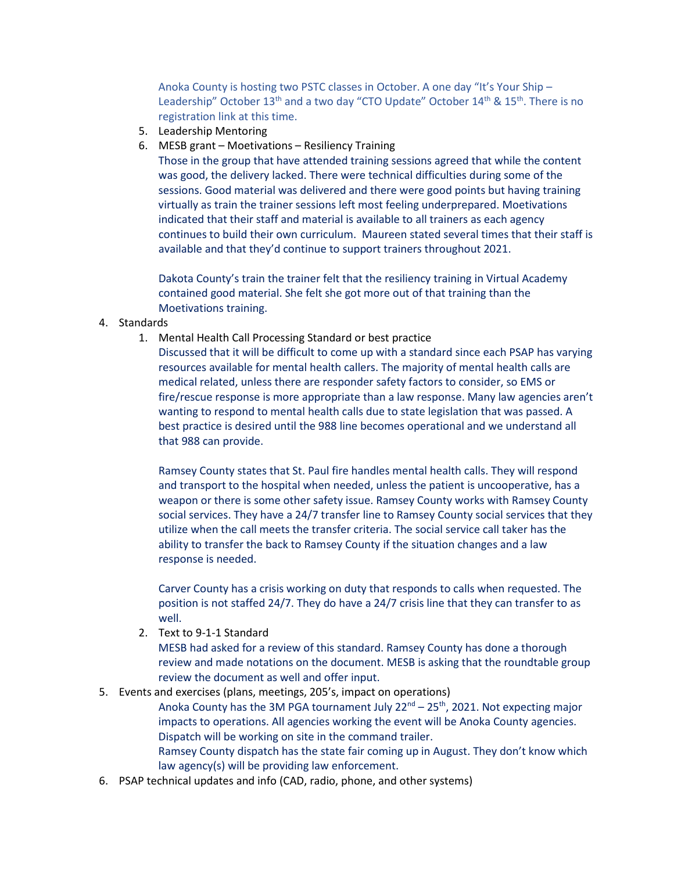Anoka County is hosting two PSTC classes in October. A one day "It's Your Ship – Leadership" October  $13<sup>th</sup>$  and a two day "CTO Update" October  $14<sup>th</sup>$  &  $15<sup>th</sup>$ . There is no registration link at this time.

- 5. Leadership Mentoring
- 6. MESB grant Moetivations Resiliency Training

Those in the group that have attended training sessions agreed that while the content was good, the delivery lacked. There were technical difficulties during some of the sessions. Good material was delivered and there were good points but having training virtually as train the trainer sessions left most feeling underprepared. Moetivations indicated that their staff and material is available to all trainers as each agency continues to build their own curriculum. Maureen stated several times that their staff is available and that they'd continue to support trainers throughout 2021.

Dakota County's train the trainer felt that the resiliency training in Virtual Academy contained good material. She felt she got more out of that training than the Moetivations training.

#### 4. Standards

1. Mental Health Call Processing Standard or best practice

Discussed that it will be difficult to come up with a standard since each PSAP has varying resources available for mental health callers. The majority of mental health calls are medical related, unless there are responder safety factors to consider, so EMS or fire/rescue response is more appropriate than a law response. Many law agencies aren't wanting to respond to mental health calls due to state legislation that was passed. A best practice is desired until the 988 line becomes operational and we understand all that 988 can provide.

Ramsey County states that St. Paul fire handles mental health calls. They will respond and transport to the hospital when needed, unless the patient is uncooperative, has a weapon or there is some other safety issue. Ramsey County works with Ramsey County social services. They have a 24/7 transfer line to Ramsey County social services that they utilize when the call meets the transfer criteria. The social service call taker has the ability to transfer the back to Ramsey County if the situation changes and a law response is needed.

Carver County has a crisis working on duty that responds to calls when requested. The position is not staffed 24/7. They do have a 24/7 crisis line that they can transfer to as well.

2. Text to 9-1-1 Standard

MESB had asked for a review of this standard. Ramsey County has done a thorough review and made notations on the document. MESB is asking that the roundtable group review the document as well and offer input.

5. Events and exercises (plans, meetings, 205's, impact on operations)

Anoka County has the 3M PGA tournament July  $22^{nd} - 25^{th}$ , 2021. Not expecting major impacts to operations. All agencies working the event will be Anoka County agencies. Dispatch will be working on site in the command trailer.

Ramsey County dispatch has the state fair coming up in August. They don't know which law agency(s) will be providing law enforcement.

6. PSAP technical updates and info (CAD, radio, phone, and other systems)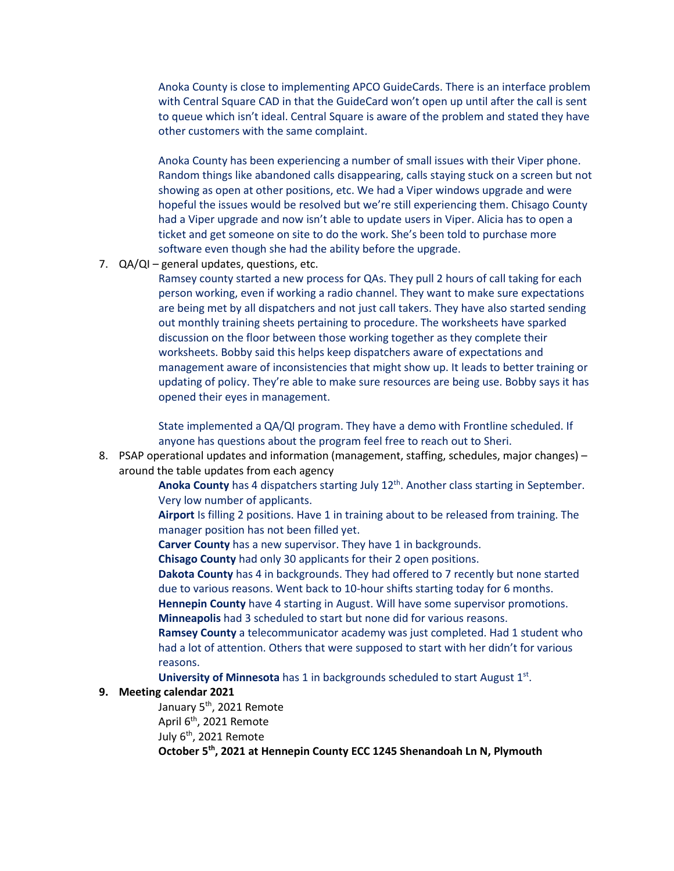Anoka County is close to implementing APCO GuideCards. There is an interface problem with Central Square CAD in that the GuideCard won't open up until after the call is sent to queue which isn't ideal. Central Square is aware of the problem and stated they have other customers with the same complaint.

Anoka County has been experiencing a number of small issues with their Viper phone. Random things like abandoned calls disappearing, calls staying stuck on a screen but not showing as open at other positions, etc. We had a Viper windows upgrade and were hopeful the issues would be resolved but we're still experiencing them. Chisago County had a Viper upgrade and now isn't able to update users in Viper. Alicia has to open a ticket and get someone on site to do the work. She's been told to purchase more software even though she had the ability before the upgrade.

7. QA/QI – general updates, questions, etc.

Ramsey county started a new process for QAs. They pull 2 hours of call taking for each person working, even if working a radio channel. They want to make sure expectations are being met by all dispatchers and not just call takers. They have also started sending out monthly training sheets pertaining to procedure. The worksheets have sparked discussion on the floor between those working together as they complete their worksheets. Bobby said this helps keep dispatchers aware of expectations and management aware of inconsistencies that might show up. It leads to better training or updating of policy. They're able to make sure resources are being use. Bobby says it has opened their eyes in management.

State implemented a QA/QI program. They have a demo with Frontline scheduled. If anyone has questions about the program feel free to reach out to Sheri.

8. PSAP operational updates and information (management, staffing, schedules, major changes) – around the table updates from each agency

> Anoka County has 4 dispatchers starting July 12<sup>th</sup>. Another class starting in September. Very low number of applicants.

**Airport** Is filling 2 positions. Have 1 in training about to be released from training. The manager position has not been filled yet.

**Carver County** has a new supervisor. They have 1 in backgrounds.

**Chisago County** had only 30 applicants for their 2 open positions.

**Dakota County** has 4 in backgrounds. They had offered to 7 recently but none started due to various reasons. Went back to 10-hour shifts starting today for 6 months.

**Hennepin County** have 4 starting in August. Will have some supervisor promotions. **Minneapolis** had 3 scheduled to start but none did for various reasons.

**Ramsey County** a telecommunicator academy was just completed. Had 1 student who had a lot of attention. Others that were supposed to start with her didn't for various reasons.

**University of Minnesota** has 1 in backgrounds scheduled to start August 1st.

#### **9. Meeting calendar 2021**

January 5<sup>th</sup>, 2021 Remote April  $6<sup>th</sup>$ , 2021 Remote July 6<sup>th</sup>, 2021 Remote **October 5th, 2021 at Hennepin County ECC 1245 Shenandoah Ln N, Plymouth**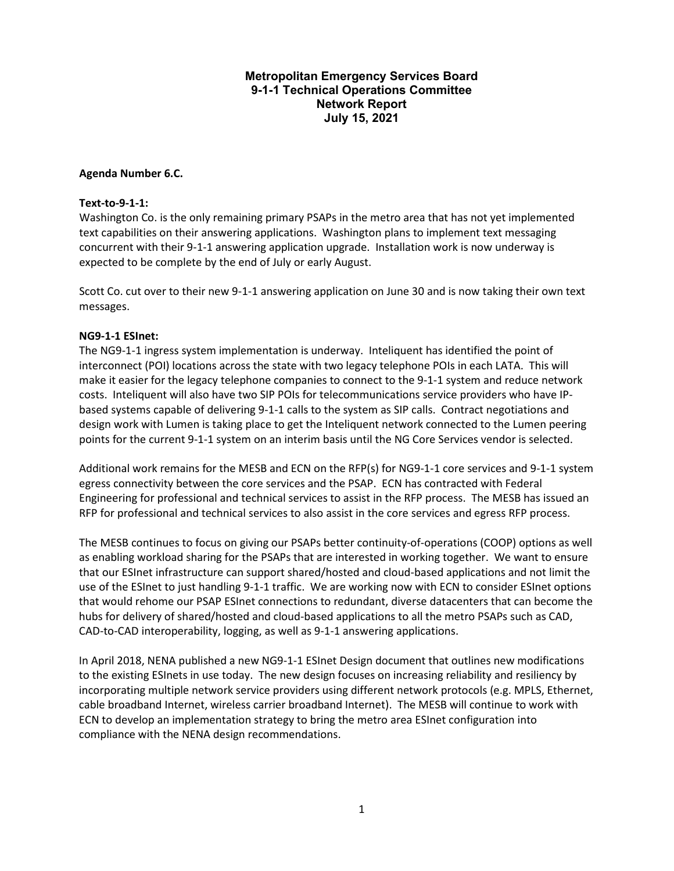#### **Metropolitan Emergency Services Board 9-1-1 Technical Operations Committee Network Report July 15, 2021**

#### **Agenda Number 6.C.**

#### **Text-to-9-1-1:**

Washington Co. is the only remaining primary PSAPs in the metro area that has not yet implemented text capabilities on their answering applications. Washington plans to implement text messaging concurrent with their 9-1-1 answering application upgrade. Installation work is now underway is expected to be complete by the end of July or early August.

Scott Co. cut over to their new 9-1-1 answering application on June 30 and is now taking their own text messages.

#### **NG9-1-1 ESInet:**

The NG9-1-1 ingress system implementation is underway. Inteliquent has identified the point of interconnect (POI) locations across the state with two legacy telephone POIs in each LATA. This will make it easier for the legacy telephone companies to connect to the 9-1-1 system and reduce network costs. Inteliquent will also have two SIP POIs for telecommunications service providers who have IPbased systems capable of delivering 9-1-1 calls to the system as SIP calls. Contract negotiations and design work with Lumen is taking place to get the Inteliquent network connected to the Lumen peering points for the current 9-1-1 system on an interim basis until the NG Core Services vendor is selected.

Additional work remains for the MESB and ECN on the RFP(s) for NG9-1-1 core services and 9-1-1 system egress connectivity between the core services and the PSAP. ECN has contracted with Federal Engineering for professional and technical services to assist in the RFP process. The MESB has issued an RFP for professional and technical services to also assist in the core services and egress RFP process.

The MESB continues to focus on giving our PSAPs better continuity-of-operations (COOP) options as well as enabling workload sharing for the PSAPs that are interested in working together. We want to ensure that our ESInet infrastructure can support shared/hosted and cloud-based applications and not limit the use of the ESInet to just handling 9-1-1 traffic. We are working now with ECN to consider ESInet options that would rehome our PSAP ESInet connections to redundant, diverse datacenters that can become the hubs for delivery of shared/hosted and cloud-based applications to all the metro PSAPs such as CAD, CAD-to-CAD interoperability, logging, as well as 9-1-1 answering applications.

In April 2018, NENA published a new NG9-1-1 ESInet Design document that outlines new modifications to the existing ESInets in use today. The new design focuses on increasing reliability and resiliency by incorporating multiple network service providers using different network protocols (e.g. MPLS, Ethernet, cable broadband Internet, wireless carrier broadband Internet). The MESB will continue to work with ECN to develop an implementation strategy to bring the metro area ESInet configuration into compliance with the NENA design recommendations.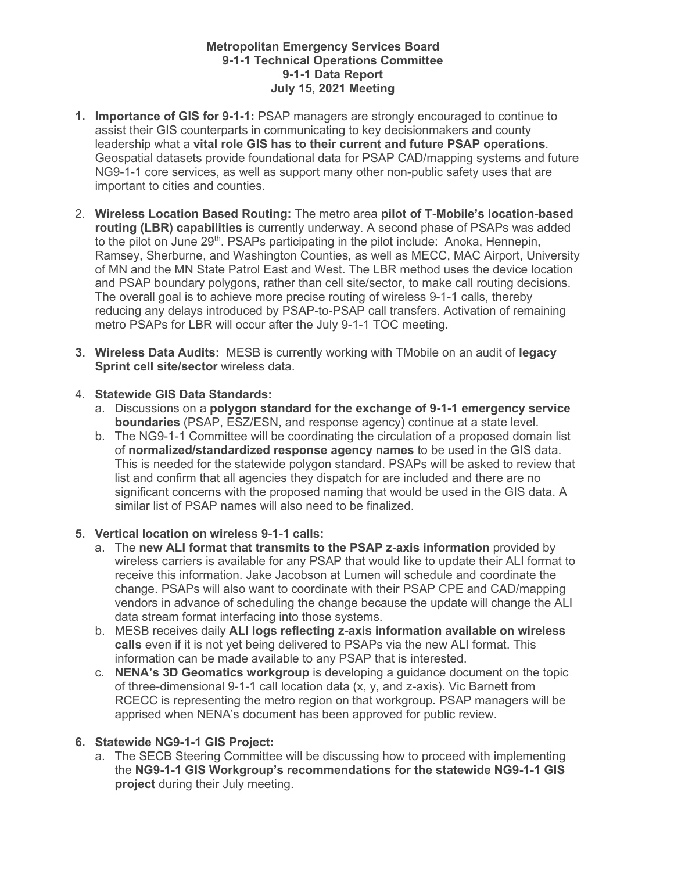#### **Metropolitan Emergency Services Board 9-1-1 Technical Operations Committee 9-1-1 Data Report July 15, 2021 Meeting**

- **1. Importance of GIS for 9-1-1:** PSAP managers are strongly encouraged to continue to assist their GIS counterparts in communicating to key decisionmakers and county leadership what a **vital role GIS has to their current and future PSAP operations**. Geospatial datasets provide foundational data for PSAP CAD/mapping systems and future NG9-1-1 core services, as well as support many other non-public safety uses that are important to cities and counties.
- 2. **Wireless Location Based Routing:** The metro area **pilot of T-Mobile's location-based routing (LBR) capabilities** is currently underway. A second phase of PSAPs was added to the pilot on June  $29<sup>th</sup>$ . PSAPs participating in the pilot include: Anoka, Hennepin, Ramsey, Sherburne, and Washington Counties, as well as MECC, MAC Airport, University of MN and the MN State Patrol East and West. The LBR method uses the device location and PSAP boundary polygons, rather than cell site/sector, to make call routing decisions. The overall goal is to achieve more precise routing of wireless 9-1-1 calls, thereby reducing any delays introduced by PSAP-to-PSAP call transfers. Activation of remaining metro PSAPs for LBR will occur after the July 9-1-1 TOC meeting.
- **3. Wireless Data Audits:** MESB is currently working with TMobile on an audit of **legacy Sprint cell site/sector** wireless data.

#### 4. **Statewide GIS Data Standards:**

- a. Discussions on a **polygon standard for the exchange of 9-1-1 emergency service boundaries** (PSAP, ESZ/ESN, and response agency) continue at a state level.
- b. The NG9-1-1 Committee will be coordinating the circulation of a proposed domain list of **normalized/standardized response agency names** to be used in the GIS data. This is needed for the statewide polygon standard. PSAPs will be asked to review that list and confirm that all agencies they dispatch for are included and there are no significant concerns with the proposed naming that would be used in the GIS data. A similar list of PSAP names will also need to be finalized.

#### **5. Vertical location on wireless 9-1-1 calls:**

- a. The **new ALI format that transmits to the PSAP z-axis information** provided by wireless carriers is available for any PSAP that would like to update their ALI format to receive this information. Jake Jacobson at Lumen will schedule and coordinate the change. PSAPs will also want to coordinate with their PSAP CPE and CAD/mapping vendors in advance of scheduling the change because the update will change the ALI data stream format interfacing into those systems.
- b. MESB receives daily **ALI logs reflecting z-axis information available on wireless calls** even if it is not yet being delivered to PSAPs via the new ALI format. This information can be made available to any PSAP that is interested.
- c. **NENA's 3D Geomatics workgroup** is developing a guidance document on the topic of three-dimensional 9-1-1 call location data (x, y, and z-axis). Vic Barnett from RCECC is representing the metro region on that workgroup. PSAP managers will be apprised when NENA's document has been approved for public review.

#### **6. Statewide NG9-1-1 GIS Project:**

a. The SECB Steering Committee will be discussing how to proceed with implementing the **NG9-1-1 GIS Workgroup's recommendations for the statewide NG9-1-1 GIS project** during their July meeting.